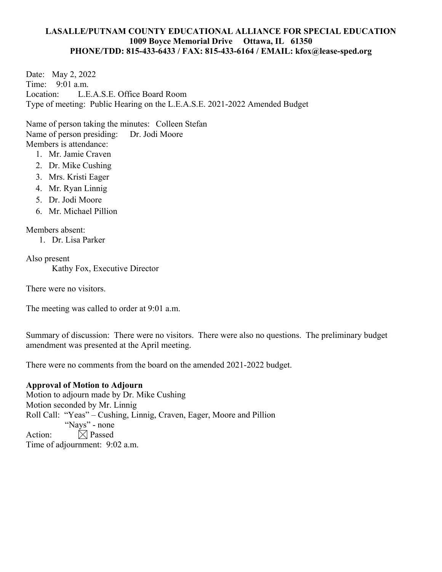### **LASALLE/PUTNAM COUNTY EDUCATIONAL ALLIANCE FOR SPECIAL EDUCATION 1009 Boyce Memorial Drive Ottawa, IL 61350 PHONE/TDD: 815-433-6433 / FAX: 815-433-6164 / EMAIL: kfox@lease-sped.org**

Date: May 2, 2022 Time: 9:01 a.m. Location: L.E.A.S.E. Office Board Room Type of meeting: Public Hearing on the L.E.A.S.E. 2021-2022 Amended Budget

Name of person taking the minutes: Colleen Stefan Name of person presiding: Dr. Jodi Moore Members is attendance:

- 1. Mr. Jamie Craven
- 2. Dr. Mike Cushing
- 3. Mrs. Kristi Eager
- 4. Mr. Ryan Linnig
- 5. Dr. Jodi Moore
- 6. Mr. Michael Pillion

Members absent:

1. Dr. Lisa Parker

Also present Kathy Fox, Executive Director

There were no visitors.

The meeting was called to order at 9:01 a.m.

Summary of discussion: There were no visitors. There were also no questions. The preliminary budget amendment was presented at the April meeting.

There were no comments from the board on the amended 2021-2022 budget.

### **Approval of Motion to Adjourn**

Motion to adjourn made by Dr. Mike Cushing Motion seconded by Mr. Linnig Roll Call: "Yeas" – Cushing, Linnig, Craven, Eager, Moore and Pillion "Nays" - none Action:  $\boxtimes$  Passed Time of adjournment: 9:02 a.m.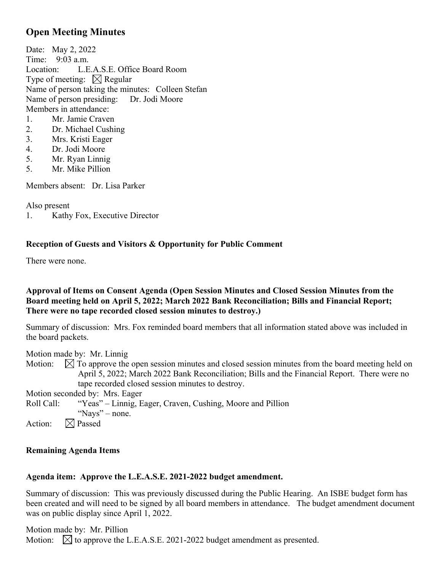# **Open Meeting Minutes**

Date: May 2, 2022 Time: 9:03 a.m. Location: L.E.A.S.E. Office Board Room Type of meeting:  $\boxtimes$  Regular Name of person taking the minutes: Colleen Stefan Name of person presiding: Dr. Jodi Moore Members in attendance:

- 1. Mr. Jamie Craven
- 2. Dr. Michael Cushing
- 3. Mrs. Kristi Eager
- 4. Dr. Jodi Moore
- 5. Mr. Ryan Linnig
- 5. Mr. Mike Pillion

Members absent: Dr. Lisa Parker

Also present

1. Kathy Fox, Executive Director

## **Reception of Guests and Visitors & Opportunity for Public Comment**

There were none.

## **Approval of Items on Consent Agenda (Open Session Minutes and Closed Session Minutes from the Board meeting held on April 5, 2022; March 2022 Bank Reconciliation; Bills and Financial Report; There were no tape recorded closed session minutes to destroy.)**

Summary of discussion: Mrs. Fox reminded board members that all information stated above was included in the board packets.

Motion made by: Mr. Linnig

Motion:  $\Box$  To approve the open session minutes and closed session minutes from the board meeting held on April 5, 2022; March 2022 Bank Reconciliation; Bills and the Financial Report. There were no tape recorded closed session minutes to destroy.

Motion seconded by: Mrs. Eager

Roll Call: "Yeas" – Linnig, Eager, Craven, Cushing, Moore and Pillion

"Nays" – none.

Action:  $\boxtimes$  Passed

## **Remaining Agenda Items**

## **Agenda item: Approve the L.E.A.S.E. 2021-2022 budget amendment.**

Summary of discussion: This was previously discussed during the Public Hearing. An ISBE budget form has been created and will need to be signed by all board members in attendance. The budget amendment document was on public display since April 1, 2022.

Motion made by: Mr. Pillion Motion:  $\boxtimes$  to approve the L.E.A.S.E. 2021-2022 budget amendment as presented.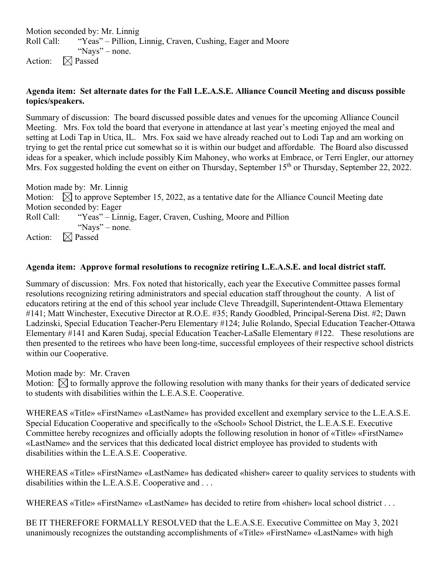Motion seconded by: Mr. Linnig Roll Call: "Yeas" – Pillion, Linnig, Craven, Cushing, Eager and Moore "Nays" – none. Action:  $\boxtimes$  Passed

## **Agenda item: Set alternate dates for the Fall L.E.A.S.E. Alliance Council Meeting and discuss possible topics/speakers.**

Summary of discussion: The board discussed possible dates and venues for the upcoming Alliance Council Meeting. Mrs. Fox told the board that everyone in attendance at last year's meeting enjoyed the meal and setting at Lodi Tap in Utica, IL. Mrs. Fox said we have already reached out to Lodi Tap and am working on trying to get the rental price cut somewhat so it is within our budget and affordable. The Board also discussed ideas for a speaker, which include possibly Kim Mahoney, who works at Embrace, or Terri Engler, our attorney Mrs. Fox suggested holding the event on either on Thursday, September 15<sup>th</sup> or Thursday, September 22, 2022.

Motion made by: Mr. Linnig Motion:  $\boxtimes$  to approve September 15, 2022, as a tentative date for the Alliance Council Meeting date Motion seconded by: Eager Roll Call: "Yeas" – Linnig, Eager, Craven, Cushing, Moore and Pillion "Nays" – none. Action:  $\boxtimes$  Passed

## **Agenda item: Approve formal resolutions to recognize retiring L.E.A.S.E. and local district staff.**

Summary of discussion: Mrs. Fox noted that historically, each year the Executive Committee passes formal resolutions recognizing retiring administrators and special education staff throughout the county. A list of educators retiring at the end of this school year include Cleve Threadgill, Superintendent-Ottawa Elementary #141; Matt Winchester, Executive Director at R.O.E. #35; Randy Goodbled, Principal-Serena Dist. #2; Dawn Ladzinski, Special Education Teacher-Peru Elementary #124; Julie Rolando, Special Education Teacher-Ottawa Elementary #141 and Karen Sudaj, special Education Teacher-LaSalle Elementary #122. These resolutions are then presented to the retirees who have been long-time, successful employees of their respective school districts within our Cooperative.

Motion made by: Mr. Craven

Motion:  $\boxtimes$  to formally approve the following resolution with many thanks for their years of dedicated service to students with disabilities within the L.E.A.S.E. Cooperative.

WHEREAS «Title» «FirstName» «LastName» has provided excellent and exemplary service to the L.E.A.S.E. Special Education Cooperative and specifically to the «School» School District, the L.E.A.S.E. Executive Committee hereby recognizes and officially adopts the following resolution in honor of «Title» «FirstName» «LastName» and the services that this dedicated local district employee has provided to students with disabilities within the L.E.A.S.E. Cooperative.

WHEREAS «Title» «FirstName» «LastName» has dedicated «hisher» career to quality services to students with disabilities within the L.E.A.S.E. Cooperative and . . .

WHEREAS «Title» «FirstName» «LastName» has decided to retire from «hisher» local school district . . .

BE IT THEREFORE FORMALLY RESOLVED that the L.E.A.S.E. Executive Committee on May 3, 2021 unanimously recognizes the outstanding accomplishments of «Title» «FirstName» «LastName» with high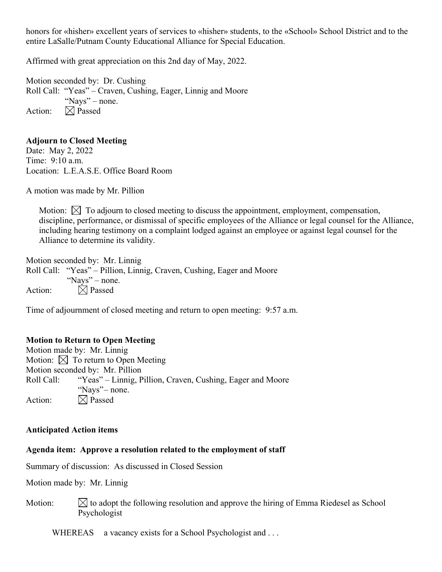honors for «hisher» excellent years of services to «hisher» students, to the «School» School District and to the entire LaSalle/Putnam County Educational Alliance for Special Education.

Affirmed with great appreciation on this 2nd day of May, 2022.

Motion seconded by: Dr. Cushing Roll Call: "Yeas" – Craven, Cushing, Eager, Linnig and Moore "Nays" – none. Action:  $\boxtimes$  Passed

### **Adjourn to Closed Meeting**

Date: May 2, 2022 Time: 9:10 a.m. Location: L.E.A.S.E. Office Board Room

A motion was made by Mr. Pillion

Motion:  $\boxtimes$  To adjourn to closed meeting to discuss the appointment, employment, compensation, discipline, performance, or dismissal of specific employees of the Alliance or legal counsel for the Alliance, including hearing testimony on a complaint lodged against an employee or against legal counsel for the Alliance to determine its validity.

Motion seconded by: Mr. Linnig Roll Call: "Yeas" – Pillion, Linnig, Craven, Cushing, Eager and Moore "Nays" – none. Action:  $\boxtimes$  Passed

Time of adjournment of closed meeting and return to open meeting: 9:57 a.m.

#### **Motion to Return to Open Meeting**

Motion made by: Mr. Linnig Motion:  $\boxtimes$  To return to Open Meeting Motion seconded by: Mr. Pillion Roll Call: "Yeas" – Linnig, Pillion, Craven, Cushing, Eager and Moore "Nays" – none. Action:  $\boxtimes$  Passed

### **Anticipated Action items**

#### **Agenda item: Approve a resolution related to the employment of staff**

Summary of discussion: As discussed in Closed Session

Motion made by: Mr. Linnig

Motion:  $\mathbb N$  to adopt the following resolution and approve the hiring of Emma Riedesel as School Psychologist

WHEREAS a vacancy exists for a School Psychologist and ...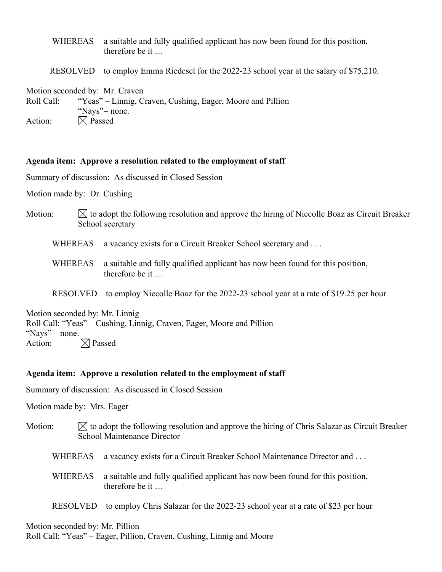- WHEREAS a suitable and fully qualified applicant has now been found for this position, therefore be it …
- RESOLVED to employ Emma Riedesel for the 2022-23 school year at the salary of \$75,210.

Motion seconded by: Mr. Craven Roll Call: "Yeas" – Linnig, Craven, Cushing, Eager, Moore and Pillion "Nays" – none. Action:  $\boxtimes$  Passed

#### **Agenda item: Approve a resolution related to the employment of staff**

Summary of discussion: As discussed in Closed Session

Motion made by: Dr. Cushing

- Motion:  $\Box$  is adopt the following resolution and approve the hiring of Niccolle Boaz as Circuit Breaker School secretary
	- WHEREAS a vacancy exists for a Circuit Breaker School secretary and ...
	- WHEREAS a suitable and fully qualified applicant has now been found for this position, therefore be it …
	- RESOLVED to employ Niccolle Boaz for the 2022-23 school year at a rate of \$19.25 per hour

Motion seconded by: Mr. Linnig Roll Call: "Yeas" – Cushing, Linnig, Craven, Eager, Moore and Pillion "Nays" – none. Action:  $\boxtimes$  Passed

#### **Agenda item: Approve a resolution related to the employment of staff**

Summary of discussion: As discussed in Closed Session

Motion made by: Mrs. Eager

- Motion:  $\mathbb N$  to adopt the following resolution and approve the hiring of Chris Salazar as Circuit Breaker School Maintenance Director
	- WHEREAS a vacancy exists for a Circuit Breaker School Maintenance Director and ...
	- WHEREAS a suitable and fully qualified applicant has now been found for this position, therefore be it …
	- RESOLVED to employ Chris Salazar for the 2022-23 school year at a rate of \$23 per hour

Motion seconded by: Mr. Pillion

Roll Call: "Yeas" – Eager, Pillion, Craven, Cushing, Linnig and Moore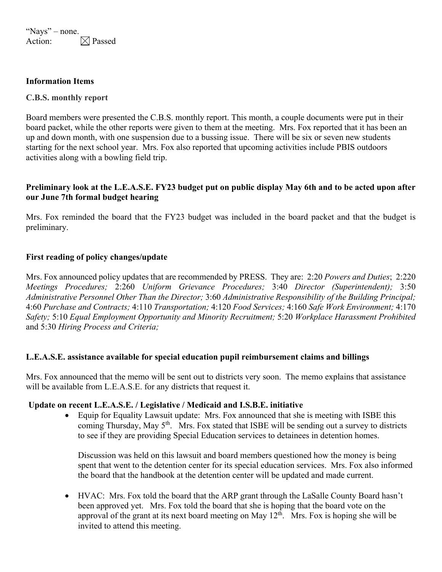"Nays" – none. Action:  $\boxtimes$  Passed

### **Information Items**

### **C.B.S. monthly report**

Board members were presented the C.B.S. monthly report. This month, a couple documents were put in their board packet, while the other reports were given to them at the meeting. Mrs. Fox reported that it has been an up and down month, with one suspension due to a bussing issue. There will be six or seven new students starting for the next school year. Mrs. Fox also reported that upcoming activities include PBIS outdoors activities along with a bowling field trip.

## **Preliminary look at the L.E.A.S.E. FY23 budget put on public display May 6th and to be acted upon after our June 7th formal budget hearing**

Mrs. Fox reminded the board that the FY23 budget was included in the board packet and that the budget is preliminary.

### **First reading of policy changes/update**

Mrs. Fox announced policy updates that are recommended by PRESS. They are: 2:20 *Powers and Duties*; 2:220 *Meetings Procedures;* 2:260 *Uniform Grievance Procedures;* 3:40 *Director (Superintendent);* 3:50 *Administrative Personnel Other Than the Director;* 3:60 *Administrative Responsibility of the Building Principal;*  4:60 *Purchase and Contracts;* 4:110 *Transportation;* 4:120 *Food Services;* 4:160 *Safe Work Environment;* 4:170 *Safety;* 5:10 *Equal Employment Opportunity and Minority Recruitment;* 5:20 *Workplace Harassment Prohibited* and 5:30 *Hiring Process and Criteria;*

### **L.E.A.S.E. assistance available for special education pupil reimbursement claims and billings**

Mrs. Fox announced that the memo will be sent out to districts very soon. The memo explains that assistance will be available from L.E.A.S.E. for any districts that request it.

#### **Update on recent L.E.A.S.E. / Legislative / Medicaid and I.S.B.E. initiative**

 Equip for Equality Lawsuit update: Mrs. Fox announced that she is meeting with ISBE this coming Thursday, May 5<sup>th</sup>. Mrs. Fox stated that ISBE will be sending out a survey to districts to see if they are providing Special Education services to detainees in detention homes.

Discussion was held on this lawsuit and board members questioned how the money is being spent that went to the detention center for its special education services. Mrs. Fox also informed the board that the handbook at the detention center will be updated and made current.

 HVAC: Mrs. Fox told the board that the ARP grant through the LaSalle County Board hasn't been approved yet. Mrs. Fox told the board that she is hoping that the board vote on the approval of the grant at its next board meeting on May  $12<sup>th</sup>$ . Mrs. Fox is hoping she will be invited to attend this meeting.